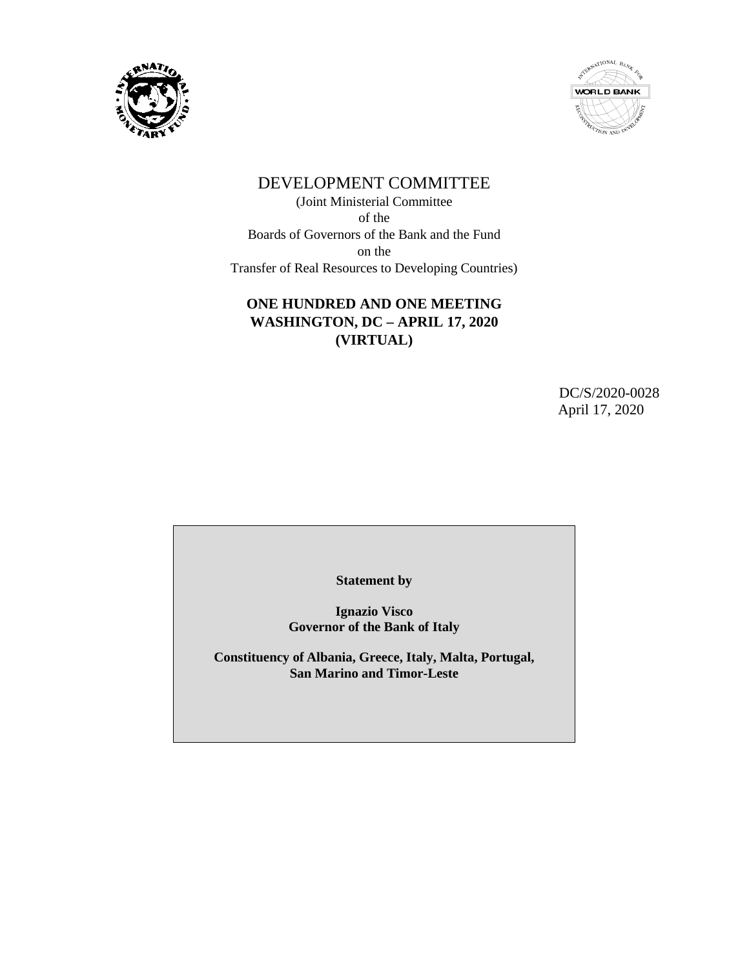



# DEVELOPMENT COMMITTEE

(Joint Ministerial Committee of the Boards of Governors of the Bank and the Fund on the Transfer of Real Resources to Developing Countries)

# **ONE HUNDRED AND ONE MEETING WASHINGTON, DC – APRIL 17, 2020 (VIRTUAL)**

DC/S/2020-0028 April 17, 2020

**Statement by**

**Ignazio Visco Governor of the Bank of Italy**

**Constituency of Albania, Greece, Italy, Malta, Portugal, San Marino and Timor-Leste**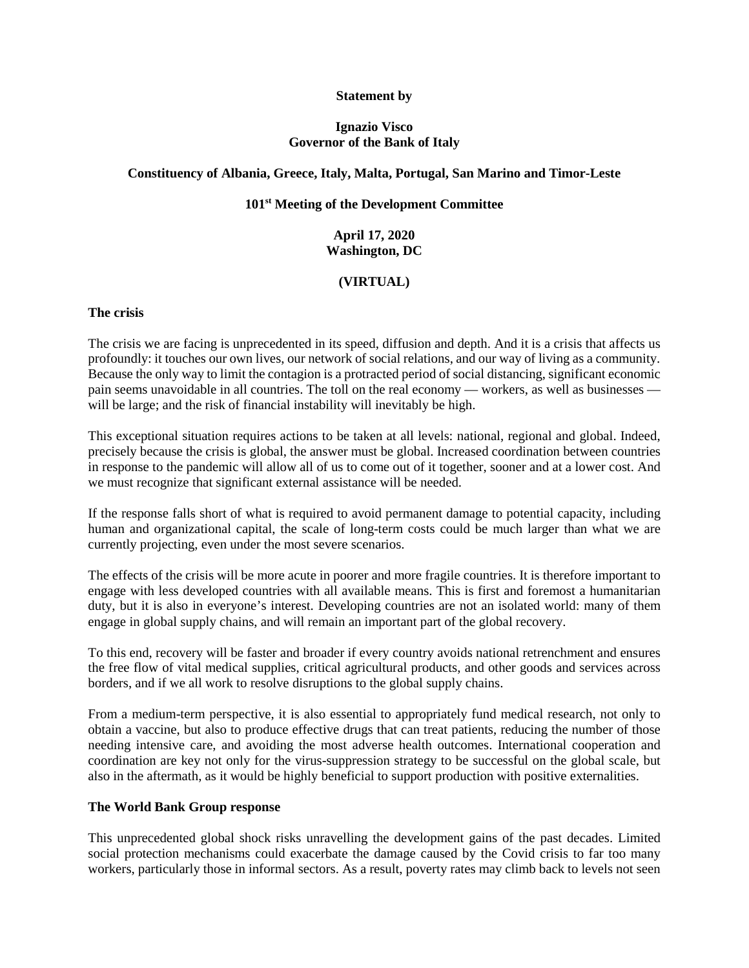### **Statement by**

## **Ignazio Visco Governor of the Bank of Italy**

#### **Constituency of Albania, Greece, Italy, Malta, Portugal, San Marino and Timor-Leste**

## **101st Meeting of the Development Committee**

# **April 17, 2020 Washington, DC**

# **(VIRTUAL)**

#### **The crisis**

The crisis we are facing is unprecedented in its speed, diffusion and depth. And it is a crisis that affects us profoundly: it touches our own lives, our network of social relations, and our way of living as a community. Because the only way to limit the contagion is a protracted period of social distancing, significant economic pain seems unavoidable in all countries. The toll on the real economy — workers, as well as businesses will be large; and the risk of financial instability will inevitably be high.

This exceptional situation requires actions to be taken at all levels: national, regional and global. Indeed, precisely because the crisis is global, the answer must be global. Increased coordination between countries in response to the pandemic will allow all of us to come out of it together, sooner and at a lower cost. And we must recognize that significant external assistance will be needed.

If the response falls short of what is required to avoid permanent damage to potential capacity, including human and organizational capital, the scale of long-term costs could be much larger than what we are currently projecting, even under the most severe scenarios.

The effects of the crisis will be more acute in poorer and more fragile countries. It is therefore important to engage with less developed countries with all available means. This is first and foremost a humanitarian duty, but it is also in everyone's interest. Developing countries are not an isolated world: many of them engage in global supply chains, and will remain an important part of the global recovery.

To this end, recovery will be faster and broader if every country avoids national retrenchment and ensures the free flow of vital medical supplies, critical agricultural products, and other goods and services across borders, and if we all work to resolve disruptions to the global supply chains.

From a medium-term perspective, it is also essential to appropriately fund medical research, not only to obtain a vaccine, but also to produce effective drugs that can treat patients, reducing the number of those needing intensive care, and avoiding the most adverse health outcomes. International cooperation and coordination are key not only for the virus-suppression strategy to be successful on the global scale, but also in the aftermath, as it would be highly beneficial to support production with positive externalities.

#### **The World Bank Group response**

This unprecedented global shock risks unravelling the development gains of the past decades. Limited social protection mechanisms could exacerbate the damage caused by the Covid crisis to far too many workers, particularly those in informal sectors. As a result, poverty rates may climb back to levels not seen